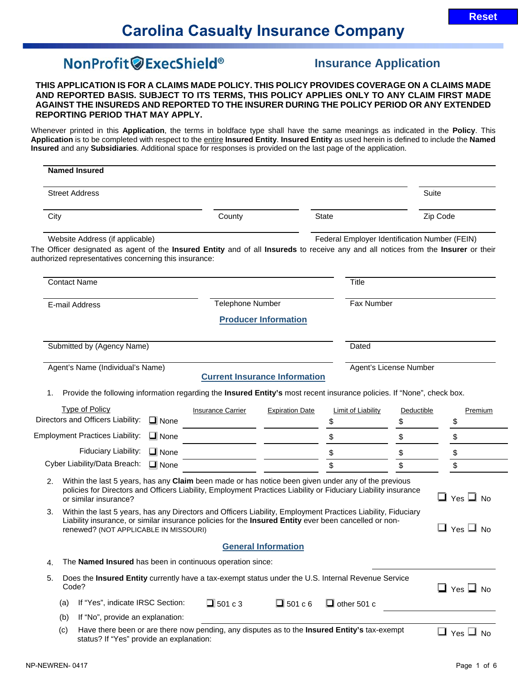# NonProfit @ExecShield®

# **Insurance Application**

**THIS APPLICATION IS FOR A CLAIMS MADE POLICY. THIS POLICY PROVIDES COVERAGE ON A CLAIMS MADE AND REPORTED BASIS. SUBJECT TO ITS TERMS, THIS POLICY APPLIES ONLY TO ANY CLAIM FIRST MADE AGAINST THE INSUREDS AND REPORTED TO THE INSURER DURING THE POLICY PERIOD OR ANY EXTENDED REPORTING PERIOD THAT MAY APPLY.**

Whenever printed in this **Application**, the terms in boldface type shall have the same meanings as indicated in the **Policy**. This **Application** is to be completed with respect to the entire **Insured Entity**. **Insured Entity** as used herein is defined to include the **Named Insured** and any **Subsidiaries**. Additional space for responses is provided on the last page of the application.

| <b>Named Insured</b>                                                                                                                                                                                                           |                                                                                                                |                                      |                                               |                        |                            |
|--------------------------------------------------------------------------------------------------------------------------------------------------------------------------------------------------------------------------------|----------------------------------------------------------------------------------------------------------------|--------------------------------------|-----------------------------------------------|------------------------|----------------------------|
| <b>Street Address</b>                                                                                                                                                                                                          |                                                                                                                |                                      |                                               | Suite                  |                            |
| City                                                                                                                                                                                                                           | County                                                                                                         |                                      | <b>State</b>                                  |                        | Zip Code                   |
| Website Address (if applicable)<br>The Officer designated as agent of the Insured Entity and of all Insureds to receive any and all notices from the Insurer or their<br>authorized representatives concerning this insurance: |                                                                                                                |                                      | Federal Employer Identification Number (FEIN) |                        |                            |
| <b>Contact Name</b>                                                                                                                                                                                                            |                                                                                                                |                                      | <b>Title</b>                                  |                        |                            |
| E-mail Address                                                                                                                                                                                                                 | <b>Telephone Number</b>                                                                                        |                                      | Fax Number                                    |                        |                            |
|                                                                                                                                                                                                                                |                                                                                                                | <b>Producer Information</b>          |                                               |                        |                            |
| Submitted by (Agency Name)                                                                                                                                                                                                     |                                                                                                                |                                      | Dated                                         |                        |                            |
| Agent's Name (Individual's Name)                                                                                                                                                                                               |                                                                                                                | <b>Current Insurance Information</b> |                                               | Agent's License Number |                            |
| Provide the following information regarding the Insured Entity's most recent insurance policies. If "None", check box.<br>1.                                                                                                   |                                                                                                                |                                      |                                               |                        |                            |
| <b>Type of Policy</b>                                                                                                                                                                                                          | <b>Insurance Carrier</b>                                                                                       | <b>Expiration Date</b>               | Limit of Liability                            | <b>Deductible</b>      | Premium                    |
| Directors and Officers Liability:                                                                                                                                                                                              | $\Box$ None                                                                                                    |                                      | \$                                            | \$                     | \$                         |
| <b>Employment Practices Liability:</b>                                                                                                                                                                                         | $\Box$ None                                                                                                    |                                      | \$                                            | \$                     | \$                         |
| Fiduciary Liability:                                                                                                                                                                                                           | $\Box$ None                                                                                                    |                                      | \$                                            | \$                     | \$                         |
| Cyber Liability/Data Breach:                                                                                                                                                                                                   | $\Box$ None                                                                                                    |                                      | \$                                            | \$                     | \$                         |
| Within the last 5 years, has any Claim been made or has notice been given under any of the previous<br>2.<br>or similar insurance?                                                                                             | policies for Directors and Officers Liability, Employment Practices Liability or Fiduciary Liability insurance |                                      |                                               |                        | $\square$ Yes $\square$ No |
| Within the last 5 years, has any Directors and Officers Liability, Employment Practices Liability, Fiduciary<br>3.<br>renewed? (NOT APPLICABLE IN MISSOURI)                                                                    | Liability insurance, or similar insurance policies for the Insured Entity ever been cancelled or non-          |                                      |                                               |                        | $\square$ Yes $\square$ No |
|                                                                                                                                                                                                                                |                                                                                                                | <b>General Information</b>           |                                               |                        |                            |
| 4.                                                                                                                                                                                                                             | The Named Insured has been in continuous operation since:                                                      |                                      |                                               |                        |                            |
| 5.<br>Code?                                                                                                                                                                                                                    | Does the Insured Entity currently have a tax-exempt status under the U.S. Internal Revenue Service             |                                      |                                               |                        | $\Box$ Yes $\Box$ No       |
| If "Yes", indicate IRSC Section:<br>(a)                                                                                                                                                                                        | $\Box$ 501 c 3                                                                                                 | $\Box$ 501 c 6                       | $\Box$ other 501 c                            |                        |                            |
| If "No", provide an explanation:<br>(b)                                                                                                                                                                                        |                                                                                                                |                                      |                                               |                        |                            |
| (c)<br>status? If "Yes" provide an explanation:                                                                                                                                                                                | Have there been or are there now pending, any disputes as to the Insured Entity's tax-exempt                   |                                      |                                               |                        | $\Box$ Yes $\Box$ No       |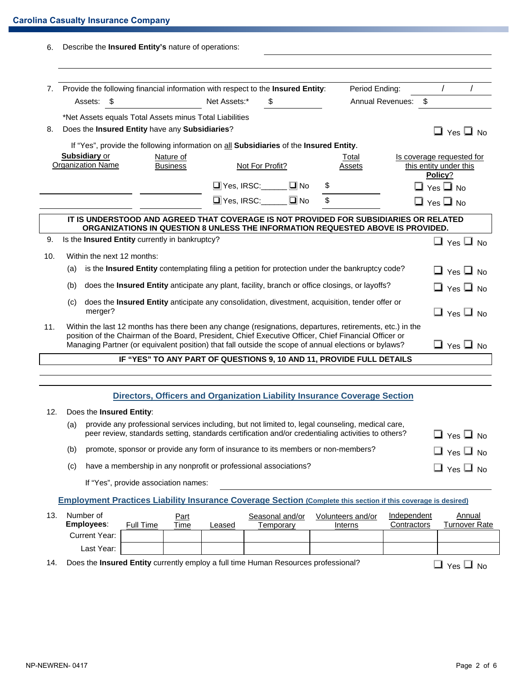| 6.  |                                                                                                                                                                                                                                                                                                                                                   |                                                                                                                                   |      | Describe the Insured Entity's nature of operations:                                                                                                                                                    |  |                             |    |    |                 |                                    |                                                                |
|-----|---------------------------------------------------------------------------------------------------------------------------------------------------------------------------------------------------------------------------------------------------------------------------------------------------------------------------------------------------|-----------------------------------------------------------------------------------------------------------------------------------|------|--------------------------------------------------------------------------------------------------------------------------------------------------------------------------------------------------------|--|-----------------------------|----|----|-----------------|------------------------------------|----------------------------------------------------------------|
| 7.  |                                                                                                                                                                                                                                                                                                                                                   | Assets:                                                                                                                           | - \$ | Provide the following financial information with respect to the Insured Entity:                                                                                                                        |  | Net Assets:*                | \$ |    |                 | Period Ending:<br>Annual Revenues: | $\prime$<br>$\sqrt[6]{\frac{1}{2}}$                            |
|     |                                                                                                                                                                                                                                                                                                                                                   |                                                                                                                                   |      | *Net Assets equals Total Assets minus Total Liabilities                                                                                                                                                |  |                             |    |    |                 |                                    |                                                                |
| 8.  |                                                                                                                                                                                                                                                                                                                                                   |                                                                                                                                   |      | Does the Insured Entity have any Subsidiaries?                                                                                                                                                         |  |                             |    |    |                 |                                    | $\Box$ Yes $\Box$ No                                           |
|     |                                                                                                                                                                                                                                                                                                                                                   |                                                                                                                                   |      | If "Yes", provide the following information on all Subsidiaries of the Insured Entity.                                                                                                                 |  |                             |    |    |                 |                                    |                                                                |
|     |                                                                                                                                                                                                                                                                                                                                                   | <b>Subsidiary or</b><br><b>Organization Name</b>                                                                                  |      | Nature of<br><b>Business</b>                                                                                                                                                                           |  | Not For Profit?             |    |    | Total<br>Assets |                                    | Is coverage requested for<br>this entity under this<br>Policy? |
|     |                                                                                                                                                                                                                                                                                                                                                   |                                                                                                                                   |      |                                                                                                                                                                                                        |  | $\Box$ Yes, IRSC: $\Box$ No |    | \$ |                 |                                    | $\Box$ Yes $\Box$ No                                           |
|     |                                                                                                                                                                                                                                                                                                                                                   |                                                                                                                                   |      |                                                                                                                                                                                                        |  | Ves, IRSC: DNo              |    | \$ |                 |                                    | $\square$ Yes $\square$ No                                     |
|     | IT IS UNDERSTOOD AND AGREED THAT COVERAGE IS NOT PROVIDED FOR SUBSIDIARIES OR RELATED<br>ORGANIZATIONS IN QUESTION 8 UNLESS THE INFORMATION REQUESTED ABOVE IS PROVIDED.                                                                                                                                                                          |                                                                                                                                   |      |                                                                                                                                                                                                        |  |                             |    |    |                 |                                    |                                                                |
| 9.  |                                                                                                                                                                                                                                                                                                                                                   |                                                                                                                                   |      | Is the <b>Insured Entity</b> currently in bankruptcy?                                                                                                                                                  |  |                             |    |    |                 |                                    | $\Box$ Yes $\Box$ No                                           |
| 10. |                                                                                                                                                                                                                                                                                                                                                   |                                                                                                                                   |      | Within the next 12 months:                                                                                                                                                                             |  |                             |    |    |                 |                                    |                                                                |
|     | (a)                                                                                                                                                                                                                                                                                                                                               | is the Insured Entity contemplating filing a petition for protection under the bankruptcy code?<br>$\Box$ Yes $\Box$ No           |      |                                                                                                                                                                                                        |  |                             |    |    |                 |                                    |                                                                |
|     | does the Insured Entity anticipate any plant, facility, branch or office closings, or layoffs?<br>(b)<br>$\Box$ Yes $\Box$ No                                                                                                                                                                                                                     |                                                                                                                                   |      |                                                                                                                                                                                                        |  |                             |    |    |                 |                                    |                                                                |
|     | (c)                                                                                                                                                                                                                                                                                                                                               | does the Insured Entity anticipate any consolidation, divestment, acquisition, tender offer or<br>merger?<br>$\Box$ Yes $\Box$ No |      |                                                                                                                                                                                                        |  |                             |    |    |                 |                                    |                                                                |
| 11. | Within the last 12 months has there been any change (resignations, departures, retirements, etc.) in the<br>position of the Chairman of the Board, President, Chief Executive Officer, Chief Financial Officer or<br>$\Box$ Yes $\Box$ No<br>Managing Partner (or equivalent position) that fall outside the scope of annual elections or bylaws? |                                                                                                                                   |      |                                                                                                                                                                                                        |  |                             |    |    |                 |                                    |                                                                |
|     |                                                                                                                                                                                                                                                                                                                                                   |                                                                                                                                   |      | IF "YES" TO ANY PART OF QUESTIONS 9, 10 AND 11, PROVIDE FULL DETAILS                                                                                                                                   |  |                             |    |    |                 |                                    |                                                                |
|     |                                                                                                                                                                                                                                                                                                                                                   |                                                                                                                                   |      |                                                                                                                                                                                                        |  |                             |    |    |                 |                                    |                                                                |
|     |                                                                                                                                                                                                                                                                                                                                                   |                                                                                                                                   |      | Directors, Officers and Organization Liability Insurance Coverage Section                                                                                                                              |  |                             |    |    |                 |                                    |                                                                |
| 12. |                                                                                                                                                                                                                                                                                                                                                   |                                                                                                                                   |      | Does the <b>Insured Entity:</b>                                                                                                                                                                        |  |                             |    |    |                 |                                    |                                                                |
|     | (a)                                                                                                                                                                                                                                                                                                                                               |                                                                                                                                   |      | provide any professional services including, but not limited to, legal counseling, medical care,<br>peer review, standards setting, standards certification and/or credentialing activities to others? |  |                             |    |    |                 |                                    | $\Box$ Yes $\Box$ No                                           |
|     | (b)                                                                                                                                                                                                                                                                                                                                               |                                                                                                                                   |      | promote, sponsor or provide any form of insurance to its members or non-members?                                                                                                                       |  |                             |    |    |                 |                                    | $\Box$ Yes $\Box$ No                                           |
|     | (c)                                                                                                                                                                                                                                                                                                                                               |                                                                                                                                   |      | have a membership in any nonprofit or professional associations?                                                                                                                                       |  |                             |    |    |                 |                                    | $\square$ Yes $\square$ No                                     |

If "Yes", provide association names:

**Employment Practices Liability Insurance Coverage Section (Complete this section if this coverage is desired)**

| 13. | Number of<br><b>Employees:</b> | Full Time | <u>Part</u><br>Time | Leased | Seasonal and/or<br>Temporarv | Volunteers and/or<br>Interns | Independent<br>Contractors | Annual<br>Turnover Rate |
|-----|--------------------------------|-----------|---------------------|--------|------------------------------|------------------------------|----------------------------|-------------------------|
|     | Current Year:                  |           |                     |        |                              |                              |                            |                         |
|     | Last Year:                     |           |                     |        |                              |                              |                            |                         |
|     |                                |           |                     |        |                              |                              |                            |                         |

14. Does the **Insured Entity** currently employ a full time Human Resources professional?  $\Box$  Yes  $\Box$  No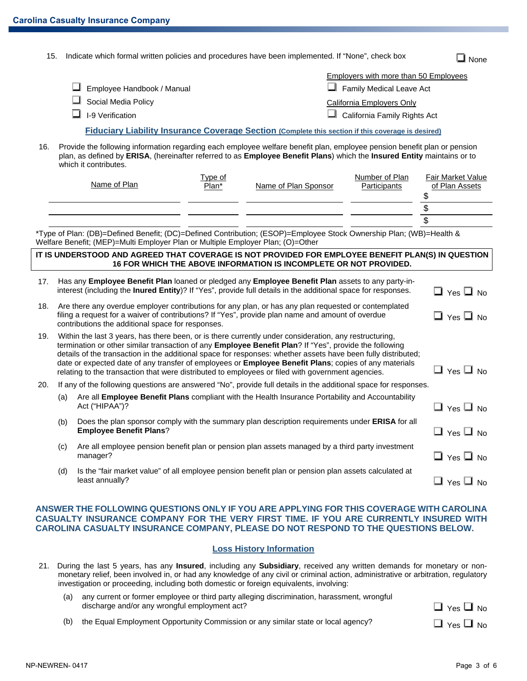|  | 15. Indicate which formal written policies and procedures have been implemented. If "None", check box | $\Box$ None |
|--|-------------------------------------------------------------------------------------------------------|-------------|
|--|-------------------------------------------------------------------------------------------------------|-------------|

| $\Box$ Employee Handbook / Manual | Employers with more than 50 Employees<br>$\Box$ Family Medical Leave Act |
|-----------------------------------|--------------------------------------------------------------------------|
| $\Box$ Social Media Policy        | California Employers Only                                                |
| $\Box$ I-9 Verification           | $\Box$ California Family Rights Act                                      |

#### **Fiduciary Liability Insurance Coverage Section (Complete this section if this coverage is desired)**

16. Provide the following information regarding each employee welfare benefit plan, employee pension benefit plan or pension plan, as defined by **ERISA**, (hereinafter referred to as **Employee Benefit Plans**) which the **Insured Entity** maintains or to which it contributes.

| Name of Plan | <u>туре of</u><br>Plan* | Name of Plan Sponsor | Number of Plan<br>Participants | <b>Fair Market Value</b><br>of Plan Assets |
|--------------|-------------------------|----------------------|--------------------------------|--------------------------------------------|
|              |                         |                      |                                |                                            |
|              |                         |                      |                                |                                            |
|              |                         |                      |                                |                                            |
|              |                         |                      |                                |                                            |

\*Type of Plan: (DB)=Defined Benefit; (DC)=Defined Contribution; (ESOP)=Employee Stock Ownership Plan; (WB)=Health & Welfare Benefit; (MEP)=Multi Employer Plan or Multiple Employer Plan; (O)=Other

#### **IT IS UNDERSTOOD AND AGREED THAT COVERAGE IS NOT PROVIDED FOR EMPLOYEE BENEFIT PLAN(S) IN QUESTION 16 FOR WHICH THE ABOVE INFORMATION IS INCOMPLETE OR NOT PROVIDED.**

| 17. |     | Has any Employee Benefit Plan loaned or pledged any Employee Benefit Plan assets to any party-in-<br>interest (including the Inured Entity)? If "Yes", provide full details in the additional space for responses.                                                                                                                                                                                                                                                                                                                                              | $\Box$ Yes $\Box$ No       |
|-----|-----|-----------------------------------------------------------------------------------------------------------------------------------------------------------------------------------------------------------------------------------------------------------------------------------------------------------------------------------------------------------------------------------------------------------------------------------------------------------------------------------------------------------------------------------------------------------------|----------------------------|
| 18. |     | Are there any overdue employer contributions for any plan, or has any plan requested or contemplated<br>filing a request for a waiver of contributions? If "Yes", provide plan name and amount of overdue<br>contributions the additional space for responses.                                                                                                                                                                                                                                                                                                  | $\Box$ Yes $\Box$ No       |
| 19. |     | Within the last 3 years, has there been, or is there currently under consideration, any restructuring,<br>termination or other similar transaction of any <b>Employee Benefit Plan</b> ? If "Yes", provide the following<br>details of the transaction in the additional space for responses: whether assets have been fully distributed;<br>date or expected date of any transfer of employees or <b>Employee Benefit Plans</b> ; copies of any materials<br>relating to the transaction that were distributed to employees or filed with government agencies. | $\square$ Yes $\square$ No |
| 20. |     | If any of the following questions are answered "No", provide full details in the additional space for responses.                                                                                                                                                                                                                                                                                                                                                                                                                                                |                            |
|     | (a) | Are all Employee Benefit Plans compliant with the Health Insurance Portability and Accountability<br>Act ("HIPAA")?                                                                                                                                                                                                                                                                                                                                                                                                                                             | $\Box$ Yes $\Box$ No       |
|     | (b) | Does the plan sponsor comply with the summary plan description requirements under ERISA for all<br><b>Employee Benefit Plans?</b>                                                                                                                                                                                                                                                                                                                                                                                                                               | $\Box$ Yes $\Box$ No       |
|     | (c) | Are all employee pension benefit plan or pension plan assets managed by a third party investment<br>manager?                                                                                                                                                                                                                                                                                                                                                                                                                                                    | $\Box$ Yes $\Box$ No       |
|     | (d) | Is the "fair market value" of all employee pension benefit plan or pension plan assets calculated at<br>least annually?                                                                                                                                                                                                                                                                                                                                                                                                                                         | $\Box$ Yes $\Box$ No       |

#### **ANSWER THE FOLLOWING QUESTIONS ONLY IF YOU ARE APPLYING FOR THIS COVERAGE WITH CAROLINA CASUALTY INSURANCE COMPANY FOR THE VERY FIRST TIME. IF YOU ARE CURRENTLY INSURED WITH CAROLINA CASUALTY INSURANCE COMPANY, PLEASE DO NOT RESPOND TO THE QUESTIONS BELOW.**

#### **Loss History Information**

- 21. During the last 5 years, has any **Insured**, including any **Subsidiary**, received any written demands for monetary or nonmonetary relief, been involved in, or had any knowledge of any civil or criminal action, administrative or arbitration, regulatory investigation or proceeding, including both domestic or foreign equivalents, involving:
	- (a) any current or former employee or third party alleging discrimination, harassment, wrongful discharge and/or any wrongful employment act?
	- (b) the Equal Employment Opportunity Commission or any similar state or local agency?

| $\Box$ Yes $\Box$ No |  |
|----------------------|--|
| $\Box$ Yes $\Box$ No |  |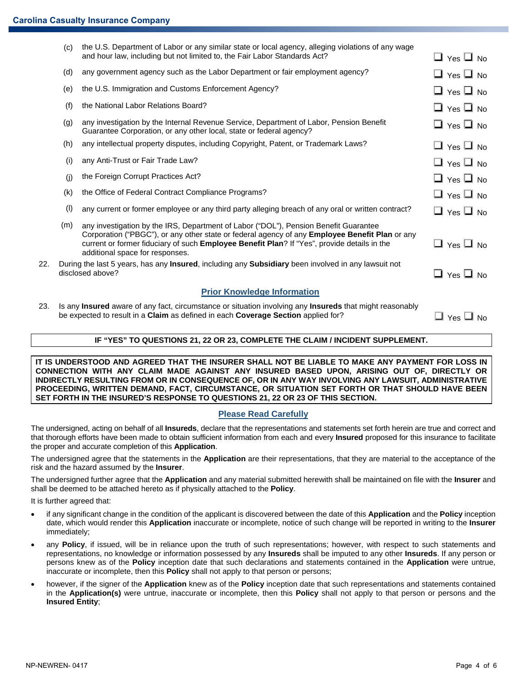|     | (c) | the U.S. Department of Labor or any similar state or local agency, alleging violations of any wage<br>and hour law, including but not limited to, the Fair Labor Standards Act?                                                                                                                                          | $\Box$ Yes $\Box$ No |
|-----|-----|--------------------------------------------------------------------------------------------------------------------------------------------------------------------------------------------------------------------------------------------------------------------------------------------------------------------------|----------------------|
|     | (d) | any government agency such as the Labor Department or fair employment agency?                                                                                                                                                                                                                                            | $\Box$ Yes $\Box$ No |
|     | (e) | the U.S. Immigration and Customs Enforcement Agency?                                                                                                                                                                                                                                                                     | $\Box$ Yes $\Box$ No |
|     | (f) | the National Labor Relations Board?                                                                                                                                                                                                                                                                                      | $\Box$ Yes $\Box$ No |
|     | (g) | any investigation by the Internal Revenue Service, Department of Labor, Pension Benefit<br>Guarantee Corporation, or any other local, state or federal agency?                                                                                                                                                           | $\Box$ Yes $\Box$ No |
|     | (h) | any intellectual property disputes, including Copyright, Patent, or Trademark Laws?                                                                                                                                                                                                                                      | $\Box$ Yes $\Box$ No |
|     | (i) | any Anti-Trust or Fair Trade Law?                                                                                                                                                                                                                                                                                        | $\Box$ Yes $\Box$ No |
|     | (j) | the Foreign Corrupt Practices Act?                                                                                                                                                                                                                                                                                       | $\Box$ Yes $\Box$ No |
|     | (k) | the Office of Federal Contract Compliance Programs?                                                                                                                                                                                                                                                                      | $\Box$ Yes $\Box$ No |
|     | (1) | any current or former employee or any third party alleging breach of any oral or written contract?                                                                                                                                                                                                                       | $\Box$ Yes $\Box$ No |
|     | (m) | any investigation by the IRS, Department of Labor ("DOL"), Pension Benefit Guarantee<br>Corporation ("PBGC"), or any other state or federal agency of any Employee Benefit Plan or any<br>current or former fiduciary of such Employee Benefit Plan? If "Yes", provide details in the<br>additional space for responses. | $\Box$ Yes $\Box$ No |
| 22. |     | During the last 5 years, has any <b>Insured</b> , including any <b>Subsidiary</b> been involved in any lawsuit not<br>disclosed above?                                                                                                                                                                                   | $\Box$ Yes $\Box$ No |
|     |     | <b>Prior Knowledge Information</b>                                                                                                                                                                                                                                                                                       |                      |
| 23. |     | Is any Insured aware of any fact, circumstance or situation involving any Insureds that might reasonably<br>be expected to result in a Claim as defined in each Coverage Section applied for?                                                                                                                            | ⊿ Yes 凵 No           |

## **IF "YES" TO QUESTIONS 21, 22 OR 23, COMPLETE THE CLAIM / INCIDENT SUPPLEMENT.**

**IT IS UNDERSTOOD AND AGREED THAT THE INSURER SHALL NOT BE LIABLE TO MAKE ANY PAYMENT FOR LOSS IN CONNECTION WITH ANY CLAIM MADE AGAINST ANY INSURED BASED UPON, ARISING OUT OF, DIRECTLY OR INDIRECTLY RESULTING FROM OR IN CONSEQUENCE OF, OR IN ANY WAY INVOLVING ANY LAWSUIT, ADMINISTRATIVE PROCEEDING, WRITTEN DEMAND, FACT, CIRCUMSTANCE, OR SITUATION SET FORTH OR THAT SHOULD HAVE BEEN SET FORTH IN THE INSURED'S RESPONSE TO QUESTIONS 21, 22 OR 23 OF THIS SECTION.** 

### **Please Read Carefully**

The undersigned, acting on behalf of all **Insureds**, declare that the representations and statements set forth herein are true and correct and that thorough efforts have been made to obtain sufficient information from each and every **Insured** proposed for this insurance to facilitate the proper and accurate completion of this **Application**.

The undersigned agree that the statements in the **Application** are their representations, that they are material to the acceptance of the risk and the hazard assumed by the **Insurer**.

The undersigned further agree that the **Application** and any material submitted herewith shall be maintained on file with the **Insurer** and shall be deemed to be attached hereto as if physically attached to the **Policy**.

It is further agreed that:

- if any significant change in the condition of the applicant is discovered between the date of this **Application** and the **Policy** inception date, which would render this **Application** inaccurate or incomplete, notice of such change will be reported in writing to the **Insurer** immediately;
- any **Policy**, if issued, will be in reliance upon the truth of such representations; however, with respect to such statements and representations, no knowledge or information possessed by any **Insureds** shall be imputed to any other **Insureds**. If any person or persons knew as of the **Policy** inception date that such declarations and statements contained in the **Application** were untrue, inaccurate or incomplete, then this **Policy** shall not apply to that person or persons;
- however, if the signer of the **Application** knew as of the **Policy** inception date that such representations and statements contained in the **Application(s)** were untrue, inaccurate or incomplete, then this **Policy** shall not apply to that person or persons and the **Insured Entity**;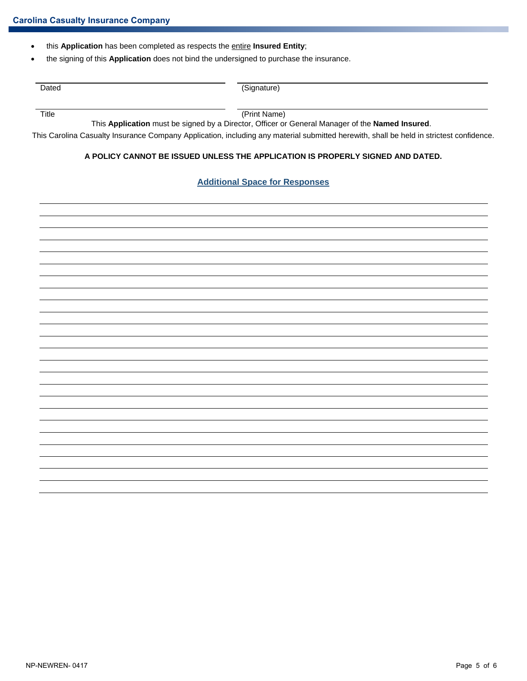- this **Application** has been completed as respects the entire **Insured Entity**;
- the signing of this **Application** does not bind the undersigned to purchase the insurance.

| Dated | (Signature)<br>פישי |
|-------|---------------------|
|       |                     |
|       |                     |

Title (Print Name)

This **Application** must be signed by a Director, Officer or General Manager of the **Named Insured**.

This Carolina Casualty Insurance Company Application, including any material submitted herewith, shall be held in strictest confidence.

#### **A POLICY CANNOT BE ISSUED UNLESS THE APPLICATION IS PROPERLY SIGNED AND DATED.**

#### **Additional Space for Responses**